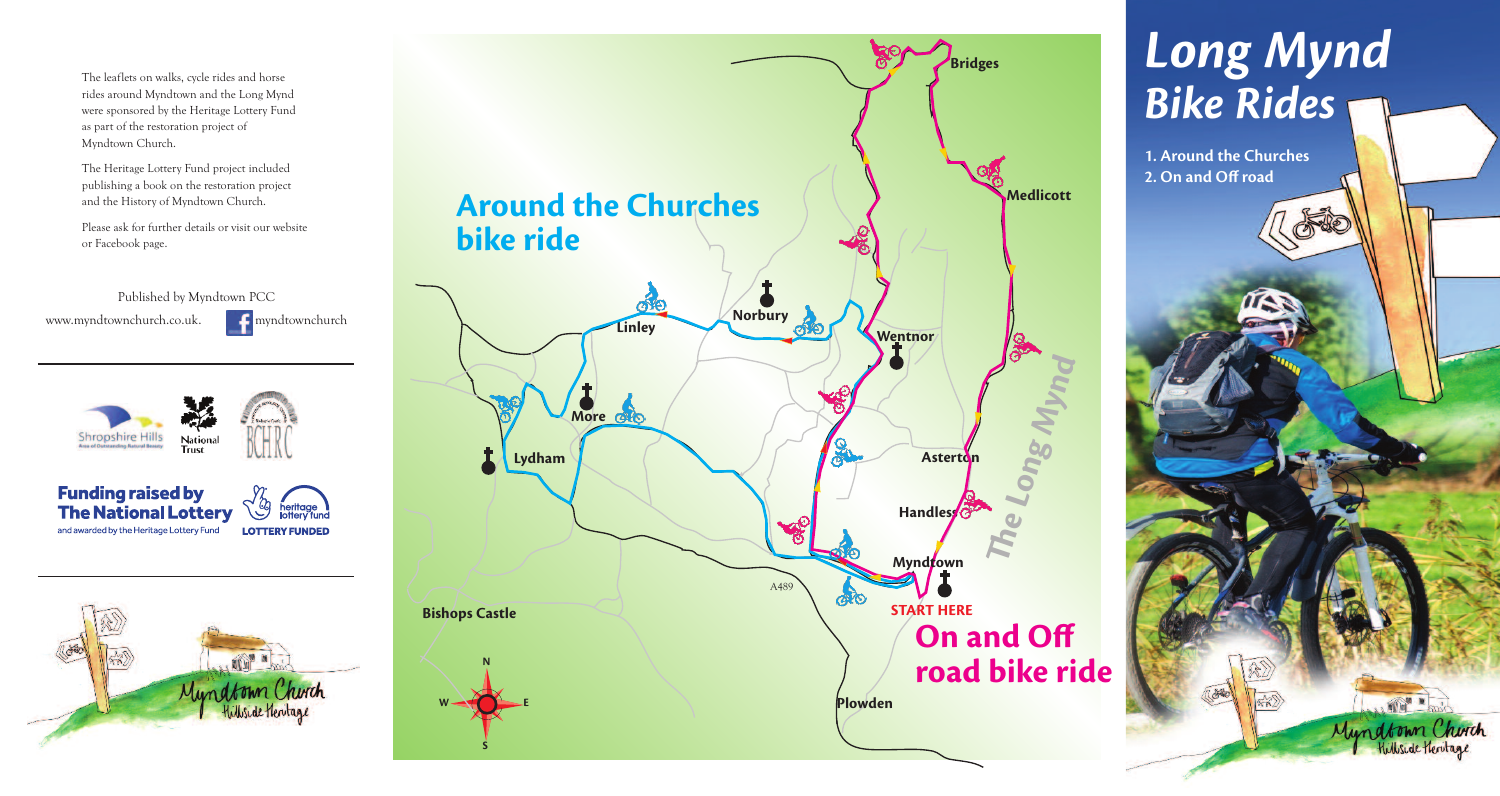The leaflets on walks, cycle rides and horse rides around Myndtown and the Long Mynd were sponsored by the Heritage Lottery Fund as part of the restoration project of Myndtown Church.

The Heritage Lottery Fund project included publishing a book on the restoration project and the History of Myndtown Church.

Please ask for further details or visit our website or Facebook page.

Published by Myndtown PCC www.myndtownchurch.co.uk. **Computer** myndtownchurch

**Shropshire Hills** National **Trust** 

**Funding raised by** heritage<br>lottery fund **The National Lottery** and awarded by the Heritage Lottery Fund **LOTTERY FUNDED** 





# *Long Mynd Bike Rides*

**1. Around the Churches 2. On and Off road**

> **AND A** Myndtown Church